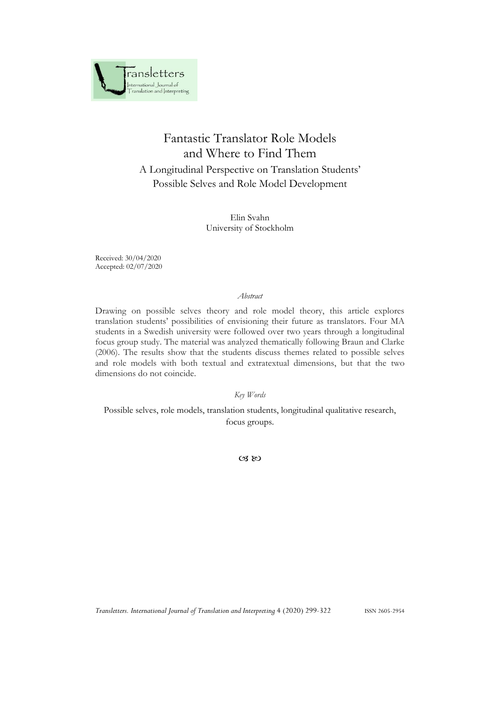

# Fantastic Translator Role Models and Where to Find Them A Longitudinal Perspective on Translation Students' Possible Selves and Role Model Development

Elin Svahn University of Stockholm

Received: 30/04/2020 Accepted: 02/07/2020

#### *Abstract*

Drawing on possible selves theory and role model theory, this article explores translation students' possibilities of envisioning their future as translators. Four MA students in a Swedish university were followed over two years through a longitudinal focus group study. The material was analyzed thematically following Braun and Clarke (2006). The results show that the students discuss themes related to possible selves and role models with both textual and extratextual dimensions, but that the two dimensions do not coincide.

*Key Words*

Possible selves, role models, translation students, longitudinal qualitative research, focus groups.

 $\alpha$   $\infty$ 

*Transletters. International Journal of Translation and Interpreting* 4 (2020) 299-322 ISSN 2605-2954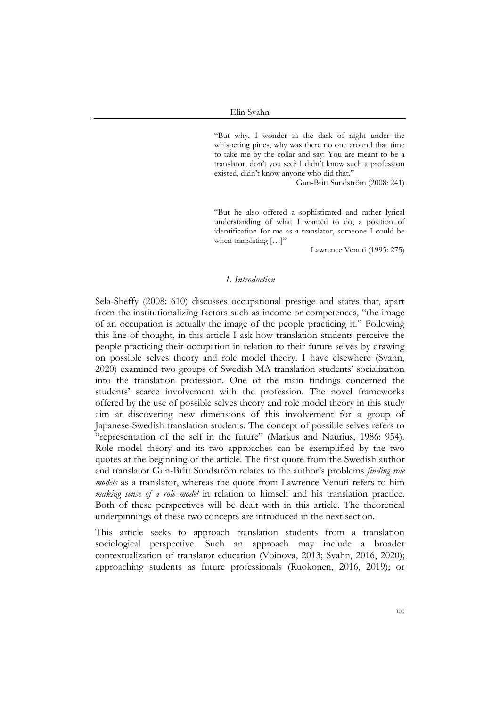"But why, I wonder in the dark of night under the whispering pines, why was there no one around that time to take me by the collar and say: You are meant to be a translator, don't you see? I didn't know such a profession existed, didn't know anyone who did that."

Gun-Britt Sundström (2008: 241)

"But he also offered a sophisticated and rather lyrical understanding of what I wanted to do, a position of identification for me as a translator, someone I could be when translating [...]"

Lawrence Venuti (1995: 275)

#### *1. Introduction*

Sela-Sheffy (2008: 610) discusses occupational prestige and states that, apart from the institutionalizing factors such as income or competences, "the image of an occupation is actually the image of the people practicing it." Following this line of thought, in this article I ask how translation students perceive the people practicing their occupation in relation to their future selves by drawing on possible selves theory and role model theory. I have elsewhere (Svahn, 2020) examined two groups of Swedish MA translation students' socialization into the translation profession. One of the main findings concerned the students' scarce involvement with the profession. The novel frameworks offered by the use of possible selves theory and role model theory in this study aim at discovering new dimensions of this involvement for a group of Japanese-Swedish translation students. The concept of possible selves refers to "representation of the self in the future" (Markus and Naurius, 1986: 954). Role model theory and its two approaches can be exemplified by the two quotes at the beginning of the article. The first quote from the Swedish author and translator Gun-Britt Sundström relates to the author's problems *finding role models* as a translator, whereas the quote from Lawrence Venuti refers to him *making sense of a role model* in relation to himself and his translation practice. Both of these perspectives will be dealt with in this article. The theoretical underpinnings of these two concepts are introduced in the next section.

This article seeks to approach translation students from a translation sociological perspective. Such an approach may include a broader contextualization of translator education (Voinova, 2013; Svahn, 2016, 2020); approaching students as future professionals (Ruokonen, 2016, 2019); or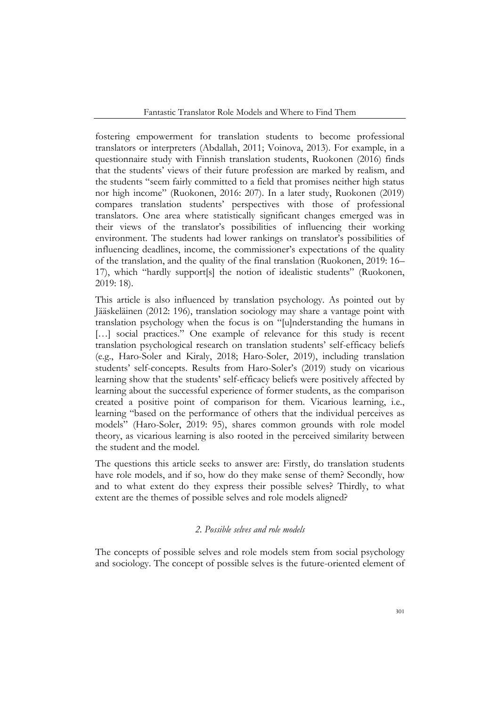fostering empowerment for translation students to become professional translators or interpreters (Abdallah, 2011; Voinova, 2013). For example, in a questionnaire study with Finnish translation students, Ruokonen (2016) finds that the students' views of their future profession are marked by realism, and the students "seem fairly committed to a field that promises neither high status nor high income" (Ruokonen, 2016: 207). In a later study, Ruokonen (2019) compares translation students' perspectives with those of professional translators. One area where statistically significant changes emerged was in their views of the translator's possibilities of influencing their working environment. The students had lower rankings on translator's possibilities of influencing deadlines, income, the commissioner's expectations of the quality of the translation, and the quality of the final translation (Ruokonen, 2019: 16– 17), which "hardly support[s] the notion of idealistic students" (Ruokonen, 2019: 18).

This article is also influenced by translation psychology. As pointed out by Jääskeläinen (2012: 196), translation sociology may share a vantage point with translation psychology when the focus is on "[u]nderstanding the humans in [...] social practices." One example of relevance for this study is recent translation psychological research on translation students' self-efficacy beliefs (e.g., Haro-Soler and Kiraly, 2018; Haro-Soler, 2019), including translation students' self-concepts. Results from Haro-Soler's (2019) study on vicarious learning show that the students' self-efficacy beliefs were positively affected by learning about the successful experience of former students, as the comparison created a positive point of comparison for them. Vicarious learning, i.e., learning "based on the performance of others that the individual perceives as models" (Haro-Soler, 2019: 95), shares common grounds with role model theory, as vicarious learning is also rooted in the perceived similarity between the student and the model.

The questions this article seeks to answer are: Firstly, do translation students have role models, and if so, how do they make sense of them? Secondly, how and to what extent do they express their possible selves? Thirdly, to what extent are the themes of possible selves and role models aligned?

# *2. Possible selves and role models*

The concepts of possible selves and role models stem from social psychology and sociology. The concept of possible selves is the future-oriented element of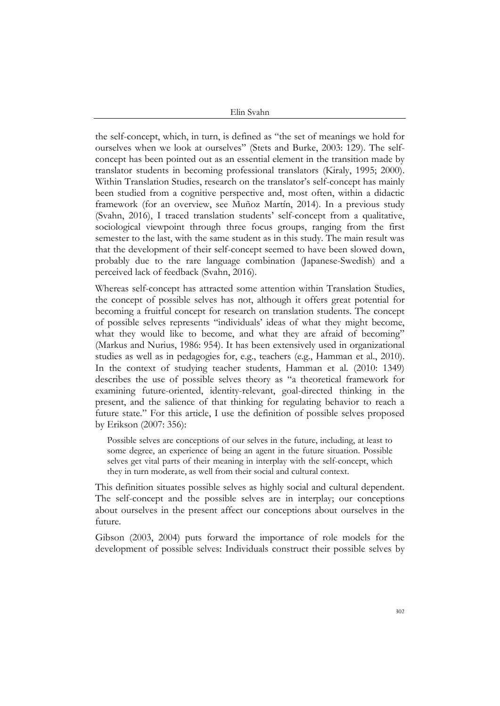the self-concept, which, in turn, is defined as "the set of meanings we hold for ourselves when we look at ourselves" (Stets and Burke, 2003: 129). The selfconcept has been pointed out as an essential element in the transition made by translator students in becoming professional translators (Kiraly, 1995; 2000). Within Translation Studies, research on the translator's self-concept has mainly been studied from a cognitive perspective and, most often, within a didactic framework (for an overview, see Muñoz Martín, 2014). In a previous study (Svahn, 2016), I traced translation students' self-concept from a qualitative, sociological viewpoint through three focus groups, ranging from the first semester to the last, with the same student as in this study. The main result was that the development of their self-concept seemed to have been slowed down, probably due to the rare language combination (Japanese-Swedish) and a perceived lack of feedback (Svahn, 2016).

Whereas self-concept has attracted some attention within Translation Studies, the concept of possible selves has not, although it offers great potential for becoming a fruitful concept for research on translation students. The concept of possible selves represents "individuals' ideas of what they might become, what they would like to become, and what they are afraid of becoming" (Markus and Nurius, 1986: 954). It has been extensively used in organizational studies as well as in pedagogies for, e.g., teachers (e.g., Hamman et al., 2010). In the context of studying teacher students, Hamman et al. (2010: 1349) describes the use of possible selves theory as "a theoretical framework for examining future-oriented, identity-relevant, goal-directed thinking in the present, and the salience of that thinking for regulating behavior to reach a future state." For this article, I use the definition of possible selves proposed by Erikson (2007: 356):

Possible selves are conceptions of our selves in the future, including, at least to some degree, an experience of being an agent in the future situation. Possible selves get vital parts of their meaning in interplay with the self-concept, which they in turn moderate, as well from their social and cultural context.

This definition situates possible selves as highly social and cultural dependent. The self-concept and the possible selves are in interplay; our conceptions about ourselves in the present affect our conceptions about ourselves in the future.

Gibson (2003, 2004) puts forward the importance of role models for the development of possible selves: Individuals construct their possible selves by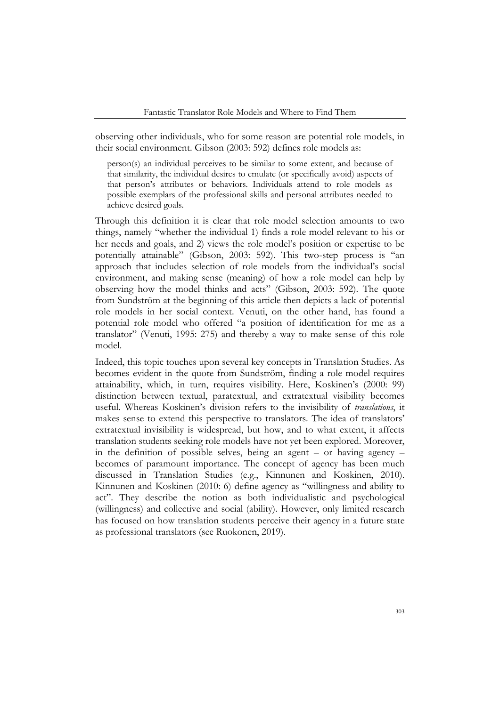observing other individuals, who for some reason are potential role models, in their social environment. Gibson (2003: 592) defines role models as:

person(s) an individual perceives to be similar to some extent, and because of that similarity, the individual desires to emulate (or specifically avoid) aspects of that person's attributes or behaviors. Individuals attend to role models as possible exemplars of the professional skills and personal attributes needed to achieve desired goals.

Through this definition it is clear that role model selection amounts to two things, namely "whether the individual 1) finds a role model relevant to his or her needs and goals, and 2) views the role model's position or expertise to be potentially attainable" (Gibson, 2003: 592). This two-step process is "an approach that includes selection of role models from the individual's social environment, and making sense (meaning) of how a role model can help by observing how the model thinks and acts" (Gibson, 2003: 592). The quote from Sundström at the beginning of this article then depicts a lack of potential role models in her social context. Venuti, on the other hand, has found a potential role model who offered "a position of identification for me as a translator" (Venuti, 1995: 275) and thereby a way to make sense of this role model.

Indeed, this topic touches upon several key concepts in Translation Studies. As becomes evident in the quote from Sundström, finding a role model requires attainability, which, in turn, requires visibility. Here, Koskinen's (2000: 99) distinction between textual, paratextual, and extratextual visibility becomes useful. Whereas Koskinen's division refers to the invisibility of *translations*, it makes sense to extend this perspective to translators. The idea of translators' extratextual invisibility is widespread, but how, and to what extent, it affects translation students seeking role models have not yet been explored. Moreover, in the definition of possible selves, being an agent – or having agency – becomes of paramount importance. The concept of agency has been much discussed in Translation Studies (e.g., Kinnunen and Koskinen, 2010). Kinnunen and Koskinen (2010: 6) define agency as "willingness and ability to act". They describe the notion as both individualistic and psychological (willingness) and collective and social (ability). However, only limited research has focused on how translation students perceive their agency in a future state as professional translators (see Ruokonen, 2019).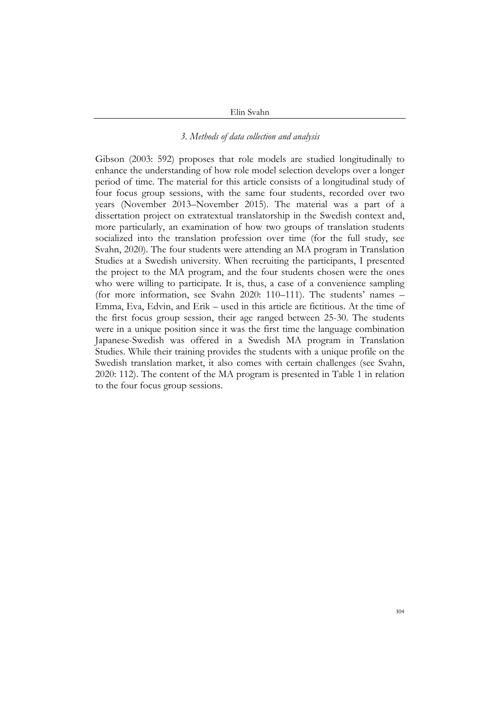### *3. Methods of data collection and analysis*

Gibson (2003: 592) proposes that role models are studied longitudinally to enhance the understanding of how role model selection develops over a longer period of time. The material for this article consists of a longitudinal study of four focus group sessions, with the same four students, recorded over two years (November 2013–November 2015). The material was a part of a dissertation project on extratextual translatorship in the Swedish context and, more particularly, an examination of how two groups of translation students socialized into the translation profession over time (for the full study, see Svahn, 2020). The four students were attending an MA program in Translation Studies at a Swedish university. When recruiting the participants, I presented the project to the MA program, and the four students chosen were the ones who were willing to participate. It is, thus, a case of a convenience sampling (for more information, see Svahn 2020: 110–111). The students' names – Emma, Eva, Edvin, and Erik – used in this article are fictitious. At the time of the first focus group session, their age ranged between 25-30. The students were in a unique position since it was the first time the language combination Japanese-Swedish was offered in a Swedish MA program in Translation Studies. While their training provides the students with a unique profile on the Swedish translation market, it also comes with certain challenges (see Svahn, 2020: 112). The content of the MA program is presented in Table 1 in relation to the four focus group sessions.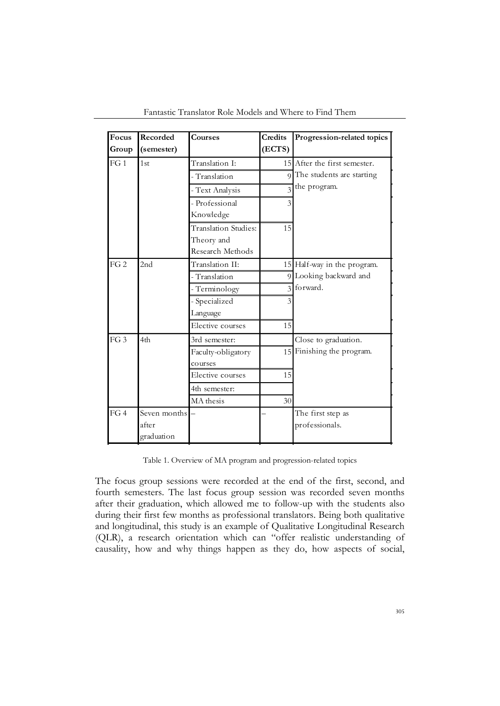| Focus           | Recorded        | <b>Courses</b>              | Credits       | Progression-related topics   |
|-----------------|-----------------|-----------------------------|---------------|------------------------------|
| Group           | (semester)      |                             | (ECTS)        |                              |
| FG1             | 1 <sub>st</sub> | Translation I:              |               | 15 After the first semester. |
|                 |                 | - Translation               |               | 9 The students are starting  |
|                 |                 | - Text Analysis             |               | the program.                 |
|                 |                 | - Professional              | 3             |                              |
|                 |                 | Knowledge                   |               |                              |
|                 |                 | <b>Translation Studies:</b> | 15            |                              |
|                 |                 | Theory and                  |               |                              |
|                 |                 | Research Methods            |               |                              |
| FG2             | 2nd             | Translation II:             |               | 15 Half-way in the program.  |
|                 |                 | - Translation               |               | 9 Looking backward and       |
|                 |                 | - Terminology               | $\mathcal{L}$ | forward.                     |
|                 |                 | - Specialized               | 3             |                              |
|                 |                 | Language                    |               |                              |
|                 |                 | Elective courses            | 15            |                              |
| FG <sub>3</sub> | 4th             | 3rd semester:               |               | Close to graduation.         |
|                 |                 | Faculty-obligatory          |               | 15 Finishing the program.    |
|                 |                 | courses                     |               |                              |
|                 |                 | Elective courses            | 15            |                              |
|                 |                 | 4th semester:               |               |                              |
|                 |                 | MA thesis                   | 30            |                              |
| FG4             | Seven months    |                             |               | The first step as            |
|                 | after           |                             |               | professionals.               |
|                 | graduation      |                             |               |                              |

Fantastic Translator Role Models and Where to Find Them

Table 1. Overview of MA program and progression-related topics

The focus group sessions were recorded at the end of the first, second, and fourth semesters. The last focus group session was recorded seven months after their graduation, which allowed me to follow-up with the students also during their first few months as professional translators. Being both qualitative and longitudinal, this study is an example of Qualitative Longitudinal Research (QLR), a research orientation which can "offer realistic understanding of causality, how and why things happen as they do, how aspects of social,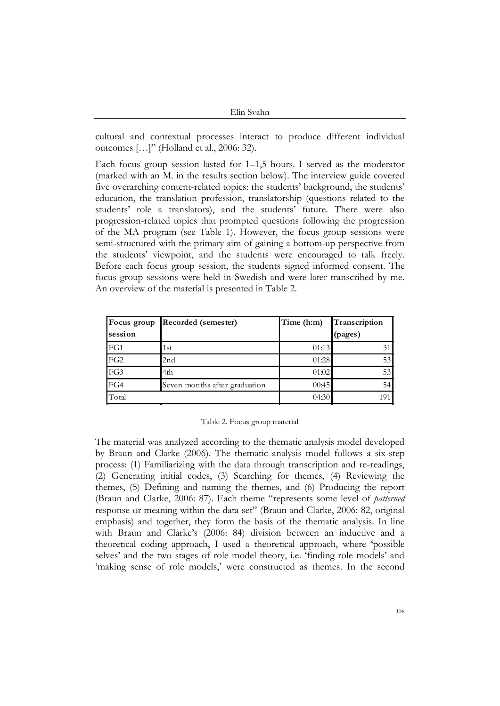cultural and contextual processes interact to produce different individual outcomes […]" (Holland et al., 2006: 32).

Each focus group session lasted for 1–1,5 hours. I served as the moderator (marked with an M. in the results section below). The interview guide covered five overarching content-related topics: the students' background, the students' education, the translation profession, translatorship (questions related to the students' role a translators), and the students' future. There were also progression-related topics that prompted questions following the progression of the MA program (see Table 1). However, the focus group sessions were semi-structured with the primary aim of gaining a bottom-up perspective from the students' viewpoint, and the students were encouraged to talk freely. Before each focus group session, the students signed informed consent. The focus group sessions were held in Swedish and were later transcribed by me. An overview of the material is presented in Table 2.

| Focus group     | Recorded (semester)           | Time (h:m) | Transcription |
|-----------------|-------------------------------|------------|---------------|
| session         |                               |            | (pages)       |
| FG1             | 1st                           | 01:13      |               |
| FG <sub>2</sub> | 2 <sub>nd</sub>               | 01:28      | 53            |
| FG3             | 4th                           | 01:02      | 53            |
| FG4             | Seven months after graduation | 00:45      | 54            |
| Total           |                               | 04:30      |               |

Table 2. Focus group material

The material was analyzed according to the thematic analysis model developed by Braun and Clarke (2006). The thematic analysis model follows a six-step process: (1) Familiarizing with the data through transcription and re-readings, (2) Generating initial codes, (3) Searching for themes, (4) Reviewing the themes, (5) Defining and naming the themes, and (6) Producing the report (Braun and Clarke, 2006: 87). Each theme "represents some level of *patterned*  response or meaning within the data set" (Braun and Clarke, 2006: 82, original emphasis) and together, they form the basis of the thematic analysis. In line with Braun and Clarke's (2006: 84) division between an inductive and a theoretical coding approach, I used a theoretical approach, where 'possible selves' and the two stages of role model theory, i.e. 'finding role models' and 'making sense of role models,' were constructed as themes. In the second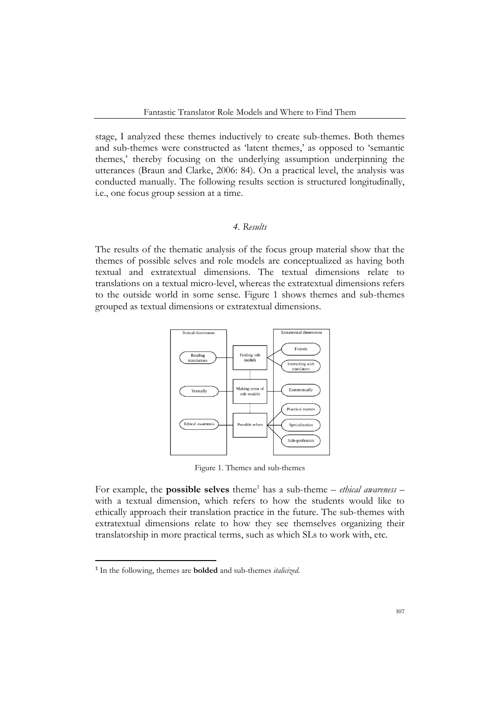stage, I analyzed these themes inductively to create sub-themes. Both themes and sub-themes were constructed as 'latent themes,' as opposed to 'semantic themes,' thereby focusing on the underlying assumption underpinning the utterances (Braun and Clarke, 2006: 84). On a practical level, the analysis was conducted manually. The following results section is structured longitudinally, i.e., one focus group session at a time.

# *4. Results*

The results of the thematic analysis of the focus group material show that the themes of possible selves and role models are conceptualized as having both textual and extratextual dimensions. The textual dimensions relate to translations on a textual micro-level, whereas the extratextual dimensions refers to the outside world in some sense. Figure 1 shows themes and sub-themes grouped as textual dimensions or extratextual dimensions.



Figure 1. Themes and sub-themes

For example, the **possible selves** theme<sup>1</sup> has a sub-theme – *ethical awareness* – with a textual dimension, which refers to how the students would like to ethically approach their translation practice in the future. The sub-themes with extratextual dimensions relate to how they see themselves organizing their translatorship in more practical terms, such as which SLs to work with, etc.

<sup>1</sup> In the following, themes are **bolded** and sub-themes *italicized*.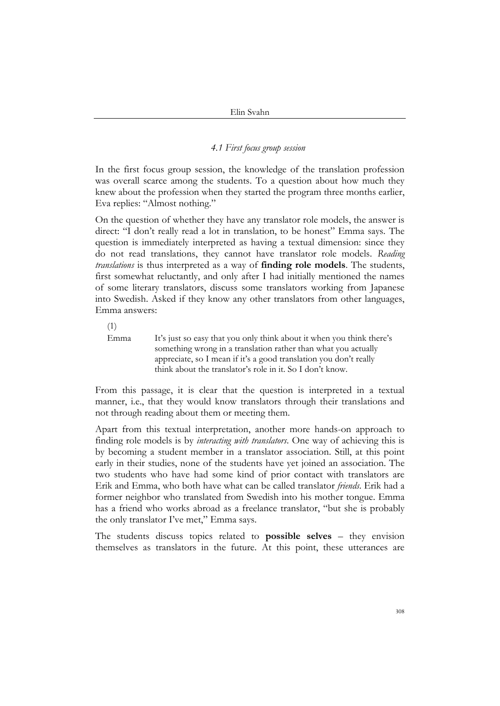## *4.1 First focus group session*

In the first focus group session, the knowledge of the translation profession was overall scarce among the students. To a question about how much they knew about the profession when they started the program three months earlier, Eva replies: "Almost nothing."

On the question of whether they have any translator role models, the answer is direct: "I don't really read a lot in translation, to be honest" Emma says. The question is immediately interpreted as having a textual dimension: since they do not read translations, they cannot have translator role models. *Reading translations* is thus interpreted as a way of **finding role models**. The students, first somewhat reluctantly, and only after I had initially mentioned the names of some literary translators, discuss some translators working from Japanese into Swedish. Asked if they know any other translators from other languages, Emma answers:

(1)

Emma It's just so easy that you only think about it when you think there's something wrong in a translation rather than what you actually appreciate, so I mean if it's a good translation you don't really think about the translator's role in it. So I don't know.

From this passage, it is clear that the question is interpreted in a textual manner, i.e., that they would know translators through their translations and not through reading about them or meeting them.

Apart from this textual interpretation, another more hands-on approach to finding role models is by *interacting with translators*. One way of achieving this is by becoming a student member in a translator association. Still, at this point early in their studies, none of the students have yet joined an association. The two students who have had some kind of prior contact with translators are Erik and Emma, who both have what can be called translator *friends*. Erik had a former neighbor who translated from Swedish into his mother tongue. Emma has a friend who works abroad as a freelance translator, "but she is probably the only translator I've met," Emma says.

The students discuss topics related to **possible selves** – they envision themselves as translators in the future. At this point, these utterances are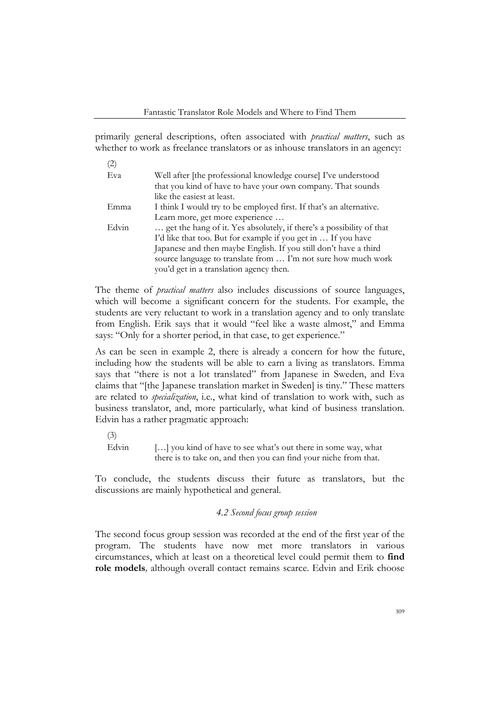primarily general descriptions, often associated with *practical matters*, such as whether to work as freelance translators or as inhouse translators in an agency:

(2)

| Well after [the professional knowledge course] I've understood       |
|----------------------------------------------------------------------|
| that you kind of have to have your own company. That sounds          |
| like the easiest at least.                                           |
| I think I would try to be employed first. If that's an alternative.  |
| Learn more, get more experience                                      |
| get the hang of it. Yes absolutely, if there's a possibility of that |
| I'd like that too. But for example if you get in  If you have        |
| Japanese and then maybe English. If you still don't have a third     |
| source language to translate from  I'm not sure how much work        |
| you'd get in a translation agency then.                              |
|                                                                      |

The theme of *practical matters* also includes discussions of source languages, which will become a significant concern for the students. For example, the students are very reluctant to work in a translation agency and to only translate from English. Erik says that it would "feel like a waste almost," and Emma says: "Only for a shorter period, in that case, to get experience."

As can be seen in example 2, there is already a concern for how the future, including how the students will be able to earn a living as translators. Emma says that "there is not a lot translated" from Japanese in Sweden, and Eva claims that "[the Japanese translation market in Sweden] is tiny." These matters are related to *specialization*, i.e., what kind of translation to work with, such as business translator, and, more particularly, what kind of business translation. Edvin has a rather pragmatic approach:

(3)

Edvin [...] you kind of have to see what's out there in some way, what there is to take on, and then you can find your niche from that.

To conclude, the students discuss their future as translators, but the discussions are mainly hypothetical and general.

# *4.2 Second focus group session*

The second focus group session was recorded at the end of the first year of the program. The students have now met more translators in various circumstances, which at least on a theoretical level could permit them to **find role models***,* although overall contact remains scarce. Edvin and Erik choose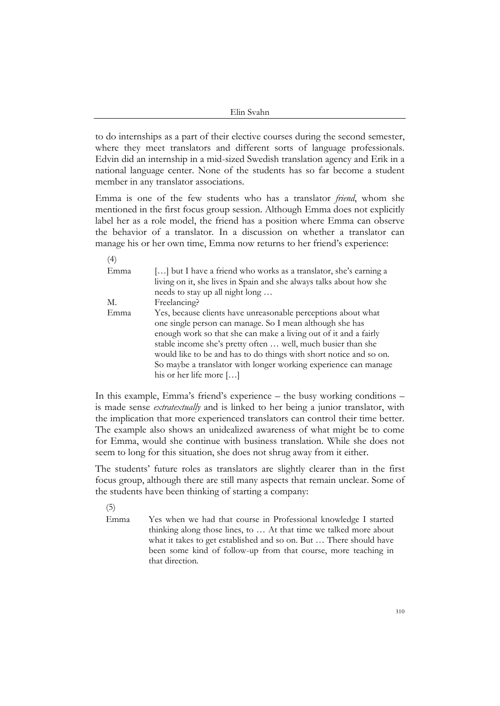to do internships as a part of their elective courses during the second semester, where they meet translators and different sorts of language professionals. Edvin did an internship in a mid-sized Swedish translation agency and Erik in a national language center. None of the students has so far become a student member in any translator associations.

Emma is one of the few students who has a translator *friend*, whom she mentioned in the first focus group session. Although Emma does not explicitly label her as a role model, the friend has a position where Emma can observe the behavior of a translator. In a discussion on whether a translator can manage his or her own time, Emma now returns to her friend's experience:

| (4)  |                                                                     |
|------|---------------------------------------------------------------------|
| Emma | [] but I have a friend who works as a translator, she's earning a   |
|      | living on it, she lives in Spain and she always talks about how she |
|      | needs to stay up all night long                                     |
| M.   | Freelancing?                                                        |
| Emma | Yes, because clients have unreasonable perceptions about what       |
|      | one single person can manage. So I mean although she has            |
|      | enough work so that she can make a living out of it and a fairly    |
|      | stable income she's pretty often  well, much busier than she        |
|      | would like to be and has to do things with short notice and so on.  |
|      | So maybe a translator with longer working experience can manage     |
|      | his or her life more $[\ldots]$                                     |

In this example, Emma's friend's experience – the busy working conditions – is made sense *extratextually* and is linked to her being a junior translator, with the implication that more experienced translators can control their time better. The example also shows an unidealized awareness of what might be to come for Emma, would she continue with business translation. While she does not seem to long for this situation, she does not shrug away from it either.

The students' future roles as translators are slightly clearer than in the first focus group, although there are still many aspects that remain unclear. Some of the students have been thinking of starting a company:

(5)

 $\lambda$ 

Emma Yes when we had that course in Professional knowledge I started thinking along those lines, to … At that time we talked more about what it takes to get established and so on. But … There should have been some kind of follow-up from that course, more teaching in that direction.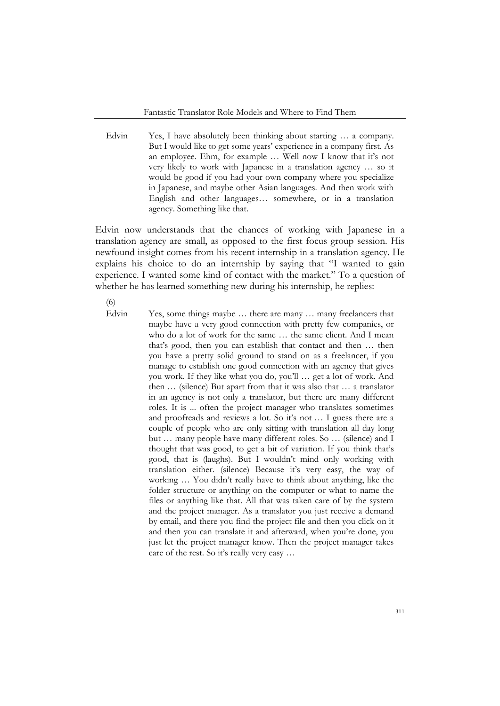Edvin Yes, I have absolutely been thinking about starting ... a company. But I would like to get some years' experience in a company first. As an employee. Ehm, for example … Well now I know that it's not very likely to work with Japanese in a translation agency … so it would be good if you had your own company where you specialize in Japanese, and maybe other Asian languages. And then work with English and other languages… somewhere, or in a translation agency. Something like that.

Edvin now understands that the chances of working with Japanese in a translation agency are small, as opposed to the first focus group session. His newfound insight comes from his recent internship in a translation agency. He explains his choice to do an internship by saying that "I wanted to gain experience. I wanted some kind of contact with the market." To a question of whether he has learned something new during his internship, he replies:

(6)

Edvin Yes, some things maybe ... there are many ... many freelancers that maybe have a very good connection with pretty few companies, or who do a lot of work for the same … the same client. And I mean that's good, then you can establish that contact and then … then you have a pretty solid ground to stand on as a freelancer, if you manage to establish one good connection with an agency that gives you work. If they like what you do, you'll … get a lot of work. And then … (silence) But apart from that it was also that … a translator in an agency is not only a translator, but there are many different roles. It is ... often the project manager who translates sometimes and proofreads and reviews a lot. So it's not … I guess there are a couple of people who are only sitting with translation all day long but … many people have many different roles. So … (silence) and I thought that was good, to get a bit of variation. If you think that's good, that is (laughs). But I wouldn't mind only working with translation either. (silence) Because it's very easy, the way of working … You didn't really have to think about anything, like the folder structure or anything on the computer or what to name the files or anything like that. All that was taken care of by the system and the project manager. As a translator you just receive a demand by email, and there you find the project file and then you click on it and then you can translate it and afterward, when you're done, you just let the project manager know. Then the project manager takes care of the rest. So it's really very easy …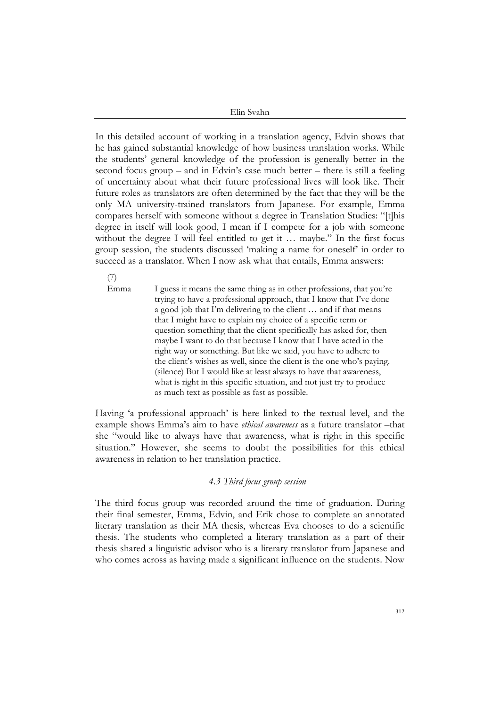In this detailed account of working in a translation agency, Edvin shows that he has gained substantial knowledge of how business translation works. While the students' general knowledge of the profession is generally better in the second focus group – and in Edvin's case much better – there is still a feeling of uncertainty about what their future professional lives will look like. Their future roles as translators are often determined by the fact that they will be the only MA university-trained translators from Japanese. For example, Emma compares herself with someone without a degree in Translation Studies: "[t]his degree in itself will look good, I mean if I compete for a job with someone without the degree I will feel entitled to get it ... maybe." In the first focus group session, the students discussed 'making a name for oneself' in order to succeed as a translator. When I now ask what that entails, Emma answers:

(7)

Emma I guess it means the same thing as in other professions, that you're trying to have a professional approach, that I know that I've done a good job that I'm delivering to the client … and if that means that I might have to explain my choice of a specific term or question something that the client specifically has asked for, then maybe I want to do that because I know that I have acted in the right way or something. But like we said, you have to adhere to the client's wishes as well, since the client is the one who's paying. (silence) But I would like at least always to have that awareness, what is right in this specific situation, and not just try to produce as much text as possible as fast as possible.

Having 'a professional approach' is here linked to the textual level, and the example shows Emma's aim to have *ethical awareness* as a future translator –that she "would like to always have that awareness, what is right in this specific situation." However, she seems to doubt the possibilities for this ethical awareness in relation to her translation practice.

## *4.3 Third focus group session*

The third focus group was recorded around the time of graduation. During their final semester, Emma, Edvin, and Erik chose to complete an annotated literary translation as their MA thesis, whereas Eva chooses to do a scientific thesis. The students who completed a literary translation as a part of their thesis shared a linguistic advisor who is a literary translator from Japanese and who comes across as having made a significant influence on the students. Now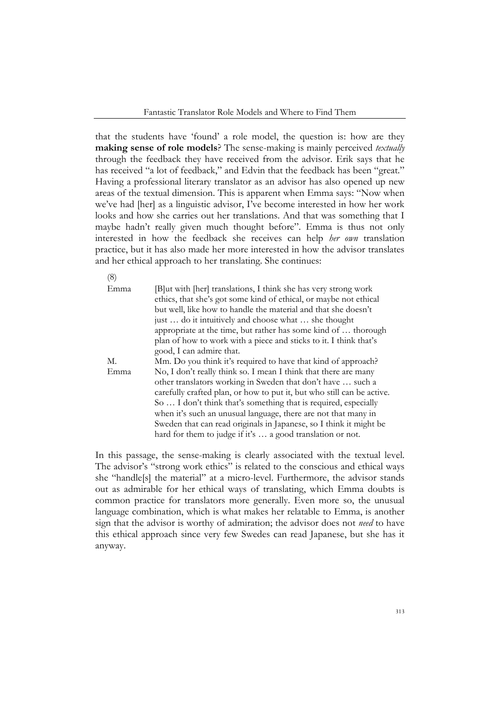that the students have 'found' a role model, the question is: how are they **making sense of role models**? The sense-making is mainly perceived *textually* through the feedback they have received from the advisor. Erik says that he has received "a lot of feedback," and Edvin that the feedback has been "great." Having a professional literary translator as an advisor has also opened up new areas of the textual dimension. This is apparent when Emma says: "Now when we've had [her] as a linguistic advisor, I've become interested in how her work looks and how she carries out her translations. And that was something that I maybe hadn't really given much thought before". Emma is thus not only interested in how the feedback she receives can help *her own* translation practice, but it has also made her more interested in how the advisor translates and her ethical approach to her translating. She continues:

(8)

| Emma | [B]ut with [her] translations, I think she has very strong work        |  |  |
|------|------------------------------------------------------------------------|--|--|
|      | ethics, that she's got some kind of ethical, or maybe not ethical      |  |  |
|      | but well, like how to handle the material and that she doesn't         |  |  |
|      | just  do it intuitively and choose what  she thought                   |  |  |
|      | appropriate at the time, but rather has some kind of  thorough         |  |  |
|      | plan of how to work with a piece and sticks to it. I think that's      |  |  |
|      | good, I can admire that.                                               |  |  |
| M.   | Mm. Do you think it's required to have that kind of approach?          |  |  |
| Emma | No, I don't really think so. I mean I think that there are many        |  |  |
|      | other translators working in Sweden that don't have  such a            |  |  |
|      | carefully crafted plan, or how to put it, but who still can be active. |  |  |
|      | So  I don't think that's something that is required, especially        |  |  |
|      | when it's such an unusual language, there are not that many in         |  |  |
|      | Sweden that can read originals in Japanese, so I think it might be     |  |  |
|      | hard for them to judge if it's  a good translation or not.             |  |  |
|      |                                                                        |  |  |

In this passage, the sense-making is clearly associated with the textual level. The advisor's "strong work ethics" is related to the conscious and ethical ways she "handle[s] the material" at a micro-level. Furthermore, the advisor stands out as admirable for her ethical ways of translating, which Emma doubts is common practice for translators more generally. Even more so, the unusual language combination, which is what makes her relatable to Emma, is another sign that the advisor is worthy of admiration; the advisor does not *need* to have this ethical approach since very few Swedes can read Japanese, but she has it anyway.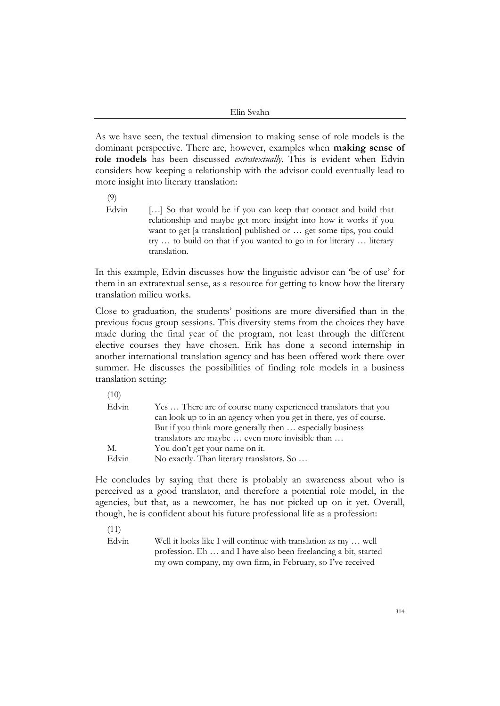As we have seen, the textual dimension to making sense of role models is the dominant perspective. There are, however, examples when **making sense of role models** has been discussed *extratextually*. This is evident when Edvin considers how keeping a relationship with the advisor could eventually lead to more insight into literary translation:

(9) Edvin [...] So that would be if you can keep that contact and build that relationship and maybe get more insight into how it works if you want to get [a translation] published or … get some tips, you could try … to build on that if you wanted to go in for literary … literary translation.

In this example, Edvin discusses how the linguistic advisor can 'be of use' for them in an extratextual sense, as a resource for getting to know how the literary translation milieu works.

Close to graduation, the students' positions are more diversified than in the previous focus group sessions. This diversity stems from the choices they have made during the final year of the program, not least through the different elective courses they have chosen. Erik has done a second internship in another international translation agency and has been offered work there over summer. He discusses the possibilities of finding role models in a business translation setting:

| Edvin | Yes  There are of course many experienced translators that you    |
|-------|-------------------------------------------------------------------|
|       | can look up to in an agency when you get in there, yes of course. |
|       | But if you think more generally then  especially business         |
|       | translators are maybe  even more invisible than                   |
| М.    | You don't get your name on it.                                    |
| Edvin | No exactly. Than literary translators. So                         |
|       |                                                                   |

He concludes by saying that there is probably an awareness about who is perceived as a good translator, and therefore a potential role model, in the agencies, but that, as a newcomer, he has not picked up on it yet. Overall, though, he is confident about his future professional life as a profession:

(11)

Edvin Well it looks like I will continue with translation as my ... well profession. Eh … and I have also been freelancing a bit, started my own company, my own firm, in February, so I've received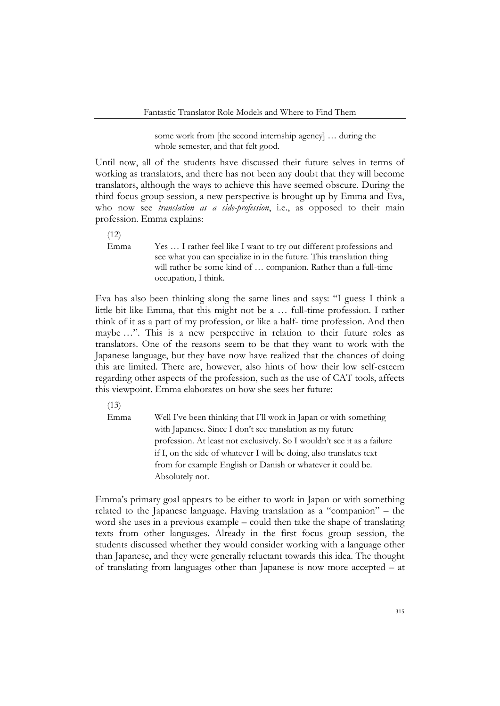some work from [the second internship agency] … during the whole semester, and that felt good.

Until now, all of the students have discussed their future selves in terms of working as translators, and there has not been any doubt that they will become translators, although the ways to achieve this have seemed obscure. During the third focus group session, a new perspective is brought up by Emma and Eva, who now see *translation as a side-profession*, i.e., as opposed to their main profession. Emma explains:

 $(12)$ 

Emma Yes … I rather feel like I want to try out different professions and see what you can specialize in in the future. This translation thing will rather be some kind of … companion. Rather than a full-time occupation, I think.

Eva has also been thinking along the same lines and says: "I guess I think a little bit like Emma, that this might not be a … full-time profession. I rather think of it as a part of my profession, or like a half- time profession. And then maybe …". This is a new perspective in relation to their future roles as translators. One of the reasons seem to be that they want to work with the Japanese language, but they have now have realized that the chances of doing this are limited. There are, however, also hints of how their low self-esteem regarding other aspects of the profession, such as the use of CAT tools, affects this viewpoint. Emma elaborates on how she sees her future:

 $(13)$ 

Emma Well I've been thinking that I'll work in Japan or with something with Japanese. Since I don't see translation as my future profession. At least not exclusively. So I wouldn't see it as a failure if I, on the side of whatever I will be doing, also translates text from for example English or Danish or whatever it could be. Absolutely not.

Emma's primary goal appears to be either to work in Japan or with something related to the Japanese language. Having translation as a "companion" – the word she uses in a previous example – could then take the shape of translating texts from other languages. Already in the first focus group session, the students discussed whether they would consider working with a language other than Japanese, and they were generally reluctant towards this idea. The thought of translating from languages other than Japanese is now more accepted – at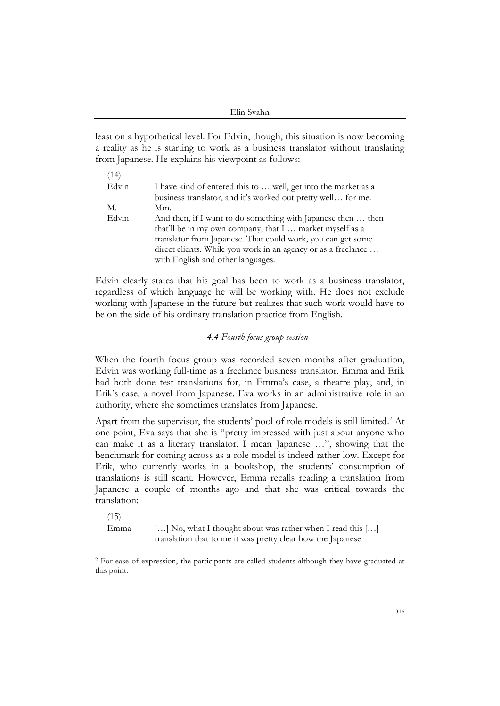least on a hypothetical level. For Edvin, though, this situation is now becoming a reality as he is starting to work as a business translator without translating from Japanese. He explains his viewpoint as follows:

| (14)  |                                                                |
|-------|----------------------------------------------------------------|
| Edvin | I have kind of entered this to  well, get into the market as a |
|       | business translator, and it's worked out pretty well for me.   |
| M.    | Mm.                                                            |
| Edvin | And then, if I want to do something with Japanese then  then   |
|       | that'll be in my own company, that I  market myself as a       |
|       | translator from Japanese. That could work, you can get some    |
|       | direct clients. While you work in an agency or as a freelance  |
|       | with English and other languages.                              |

Edvin clearly states that his goal has been to work as a business translator, regardless of which language he will be working with. He does not exclude working with Japanese in the future but realizes that such work would have to be on the side of his ordinary translation practice from English.

## *4.4 Fourth focus group session*

When the fourth focus group was recorded seven months after graduation, Edvin was working full-time as a freelance business translator. Emma and Erik had both done test translations for, in Emma's case, a theatre play, and, in Erik's case, a novel from Japanese. Eva works in an administrative role in an authority, where she sometimes translates from Japanese.

Apart from the supervisor, the students' pool of role models is still limited.<sup>2</sup> At one point, Eva says that she is "pretty impressed with just about anyone who can make it as a literary translator. I mean Japanese …", showing that the benchmark for coming across as a role model is indeed rather low. Except for Erik, who currently works in a bookshop, the students' consumption of translations is still scant. However, Emma recalls reading a translation from Japanese a couple of months ago and that she was critical towards the translation:

 $(15)$ 

Emma [...] No, what I thought about was rather when I read this [...] translation that to me it was pretty clear how the Japanese

<sup>&</sup>lt;sup>2</sup> For ease of expression, the participants are called students although they have graduated at this point.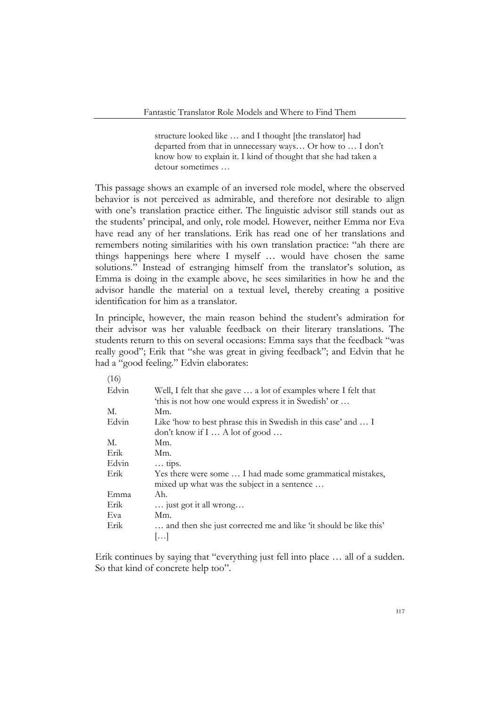structure looked like … and I thought [the translator] had departed from that in unnecessary ways… Or how to … I don't know how to explain it. I kind of thought that she had taken a detour sometimes …

This passage shows an example of an inversed role model, where the observed behavior is not perceived as admirable, and therefore not desirable to align with one's translation practice either. The linguistic advisor still stands out as the students' principal, and only, role model. However, neither Emma nor Eva have read any of her translations. Erik has read one of her translations and remembers noting similarities with his own translation practice: "ah there are things happenings here where I myself … would have chosen the same solutions." Instead of estranging himself from the translator's solution, as Emma is doing in the example above, he sees similarities in how he and the advisor handle the material on a textual level, thereby creating a positive identification for him as a translator.

In principle, however, the main reason behind the student's admiration for their advisor was her valuable feedback on their literary translations. The students return to this on several occasions: Emma says that the feedback "was really good"; Erik that "she was great in giving feedback"; and Edvin that he had a "good feeling." Edvin elaborates:

| (16)  |                                                                  |
|-------|------------------------------------------------------------------|
| Edvin | Well, I felt that she gave  a lot of examples where I felt that  |
|       | 'this is not how one would express it in Swedish' or             |
| M.    | Mm.                                                              |
| Edvin | Like 'how to best phrase this in Swedish in this case' and  I    |
|       | don't know if $I \dots A$ lot of good $\dots$                    |
| M.    | Mm.                                                              |
| Erik  | Mm.                                                              |
| Edvin | $\ldots$ tips.                                                   |
| Erik  | Yes there were some  I had made some grammatical mistakes,       |
|       | mixed up what was the subject in a sentence                      |
| Emma  | Ah.                                                              |
| Erik  | just got it all wrong                                            |
| Eva   | Mm.                                                              |
| Erik  | and then she just corrected me and like 'it should be like this' |
|       | []                                                               |

Erik continues by saying that "everything just fell into place … all of a sudden. So that kind of concrete help too".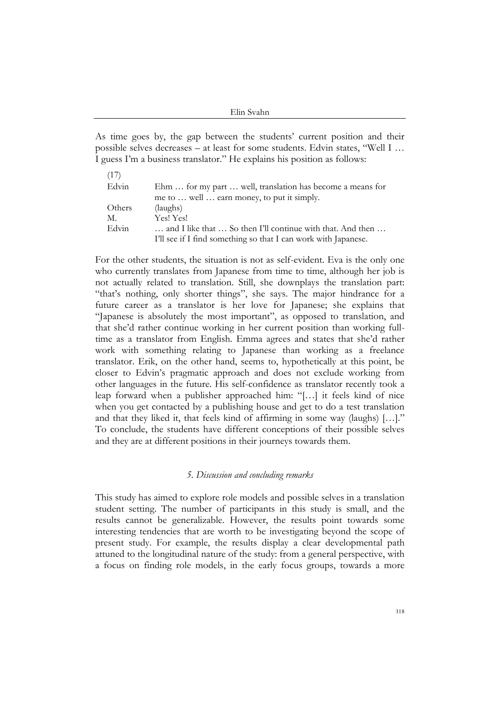As time goes by, the gap between the students' current position and their possible selves decreases – at least for some students. Edvin states, "Well I … I guess I'm a business translator." He explains his position as follows:

| (17)   |                                                                |
|--------|----------------------------------------------------------------|
| Edvin  | Ehm  for my part  well, translation has become a means for     |
|        | me to  well  earn money, to put it simply.                     |
| Others | (laughs)                                                       |
| M.     | Yes! Yes!                                                      |
| Edvin  | and I like that  So then I'll continue with that. And then     |
|        | I'll see if I find something so that I can work with Japanese. |

For the other students, the situation is not as self-evident. Eva is the only one who currently translates from Japanese from time to time, although her job is not actually related to translation. Still, she downplays the translation part: "that's nothing, only shorter things", she says. The major hindrance for a future career as a translator is her love for Japanese; she explains that "Japanese is absolutely the most important", as opposed to translation, and that she'd rather continue working in her current position than working fulltime as a translator from English. Emma agrees and states that she'd rather work with something relating to Japanese than working as a freelance translator. Erik, on the other hand, seems to, hypothetically at this point, be closer to Edvin's pragmatic approach and does not exclude working from other languages in the future. His self-confidence as translator recently took a leap forward when a publisher approached him: "[…] it feels kind of nice when you get contacted by a publishing house and get to do a test translation and that they liked it, that feels kind of affirming in some way (laughs) […]." To conclude, the students have different conceptions of their possible selves and they are at different positions in their journeys towards them.

### *5. Discussion and concluding remarks*

This study has aimed to explore role models and possible selves in a translation student setting. The number of participants in this study is small, and the results cannot be generalizable. However, the results point towards some interesting tendencies that are worth to be investigating beyond the scope of present study. For example, the results display a clear developmental path attuned to the longitudinal nature of the study: from a general perspective, with a focus on finding role models, in the early focus groups, towards a more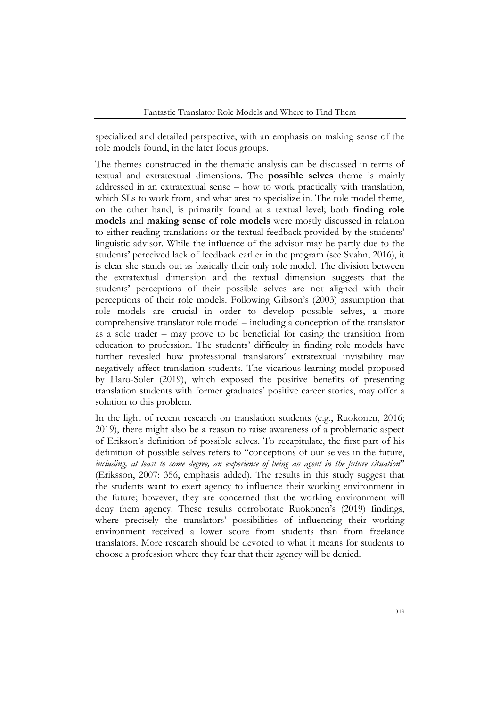specialized and detailed perspective, with an emphasis on making sense of the role models found, in the later focus groups.

The themes constructed in the thematic analysis can be discussed in terms of textual and extratextual dimensions. The **possible selves** theme is mainly addressed in an extratextual sense – how to work practically with translation, which SLs to work from, and what area to specialize in. The role model theme, on the other hand, is primarily found at a textual level; both **finding role models** and **making sense of role models** were mostly discussed in relation to either reading translations or the textual feedback provided by the students' linguistic advisor. While the influence of the advisor may be partly due to the students' perceived lack of feedback earlier in the program (see Svahn, 2016), it is clear she stands out as basically their only role model. The division between the extratextual dimension and the textual dimension suggests that the students' perceptions of their possible selves are not aligned with their perceptions of their role models. Following Gibson's (2003) assumption that role models are crucial in order to develop possible selves, a more comprehensive translator role model – including a conception of the translator as a sole trader – may prove to be beneficial for easing the transition from education to profession. The students' difficulty in finding role models have further revealed how professional translators' extratextual invisibility may negatively affect translation students. The vicarious learning model proposed by Haro-Soler (2019), which exposed the positive benefits of presenting translation students with former graduates' positive career stories, may offer a solution to this problem.

In the light of recent research on translation students (e.g., Ruokonen, 2016; 2019), there might also be a reason to raise awareness of a problematic aspect of Erikson's definition of possible selves. To recapitulate, the first part of his definition of possible selves refers to "conceptions of our selves in the future, *including, at least to some degree, an experience of being an agent in the future situation*" (Eriksson, 2007: 356, emphasis added). The results in this study suggest that the students want to exert agency to influence their working environment in the future; however, they are concerned that the working environment will deny them agency. These results corroborate Ruokonen's (2019) findings, where precisely the translators' possibilities of influencing their working environment received a lower score from students than from freelance translators. More research should be devoted to what it means for students to choose a profession where they fear that their agency will be denied.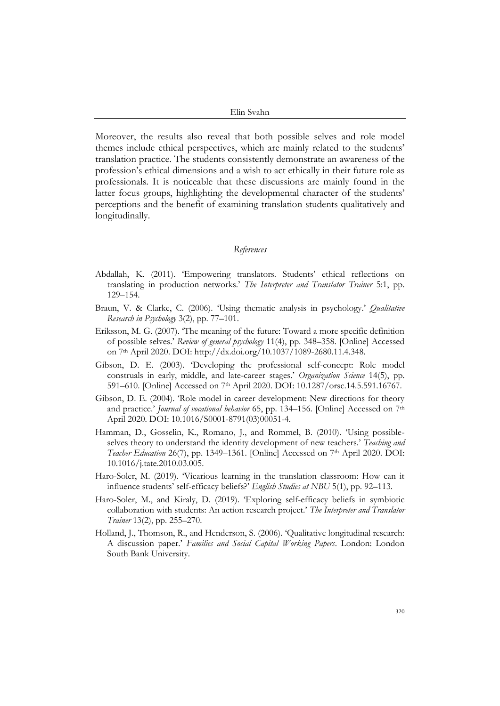Moreover, the results also reveal that both possible selves and role model themes include ethical perspectives, which are mainly related to the students' translation practice. The students consistently demonstrate an awareness of the profession's ethical dimensions and a wish to act ethically in their future role as professionals. It is noticeable that these discussions are mainly found in the latter focus groups, highlighting the developmental character of the students' perceptions and the benefit of examining translation students qualitatively and longitudinally.

## *References*

- Abdallah, K. (2011). 'Empowering translators. Students' ethical reflections on translating in production networks.' *The Interpreter and Translator Trainer* 5:1, pp. 129–154.
- Braun, V. & Clarke, C. (2006). 'Using thematic analysis in psychology.' *Qualitative Research in Psychology* 3(2), pp. 77–101.
- Eriksson, M. G. (2007). 'The meaning of the future: Toward a more specific definition of possible selves.' *Review of general psychology* 11(4), pp. 348–358. [Online] Accessed on 7th April 2020. DOI: http://dx.doi.org/10.1037/1089-2680.11.4.348.
- Gibson, D. E. (2003). 'Developing the professional self-concept: Role model construals in early, middle, and late-career stages.' *Organization Science* 14(5), pp. 591–610. [Online] Accessed on 7th April 2020. DOI: 10.1287/orsc.14.5.591.16767.
- Gibson, D. E. (2004). 'Role model in career development: New directions for theory and practice.' *Journal of vocational behavior* 65, pp. 134–156. [Online] Accessed on 7th April 2020. DOI: 10.1016/S0001-8791(03)00051-4.
- Hamman, D., Gosselin, K., Romano, J., and Rommel, B. (2010). 'Using possibleselves theory to understand the identity development of new teachers.' *Teaching and Teacher Education* 26(7), pp. 1349–1361. [Online] Accessed on 7th April 2020. DOI: 10.1016/j.tate.2010.03.005.
- Haro-Soler, M. (2019). 'Vicarious learning in the translation classroom: How can it influence students' self-efficacy beliefs?' *English Studies at NBU* 5(1), pp. 92–113.
- Haro-Soler, M., and Kiraly, D. (2019). 'Exploring self-efficacy beliefs in symbiotic collaboration with students: An action research project.' *The Interpreter and Translator Trainer* 13(2), pp. 255–270.
- Holland, J., Thomson, R., and Henderson, S. (2006). 'Qualitative longitudinal research: A discussion paper.' *Families and Social Capital Working Papers*. London: London South Bank University.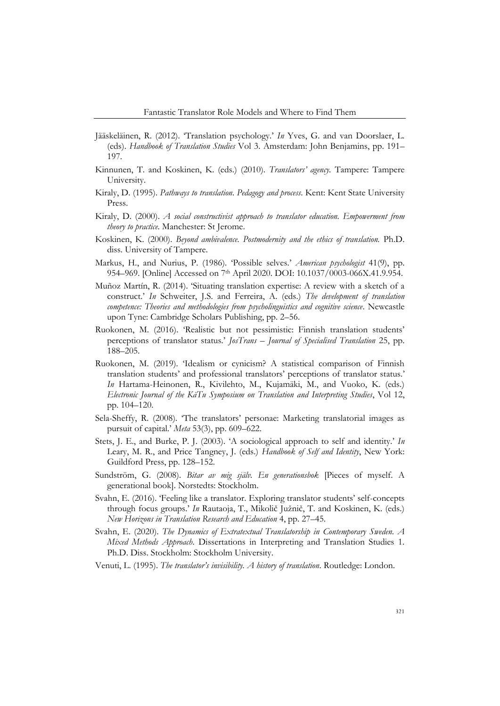- Jääskeläinen, R. (2012). 'Translation psychology.' *In* Yves, G. and van Doorslaer, L. (eds). *Handbook of Translation Studies* Vol 3. Amsterdam: John Benjamins, pp. 191– 197.
- Kinnunen, T. and Koskinen, K. (eds.) (2010). *Translators' agency.* Tampere: Tampere University.
- Kiraly, D. (1995). *Pathways to translation*. *Pedagogy and process*. Kent: Kent State University Press.
- Kiraly, D. (2000). *A social constructivist approach to translator education. Empowerment from theory to practice*. Manchester: St Jerome.
- Koskinen, K. (2000). *Beyond ambivalence. Postmodernity and the ethics of translation.* Ph.D. diss. University of Tampere.
- Markus, H., and Nurius, P. (1986). 'Possible selves.' *American psychologist* 41(9), pp. 954–969. [Online] Accessed on 7th April 2020. DOI: 10.1037/0003-066X.41.9.954.
- Muñoz Martín, R. (2014). 'Situating translation expertise: A review with a sketch of a construct.' *In* Schweiter, J.S. and Ferreira, A. (eds.) *The development of translation competence: Theories and methodologies from psycholinguistics and cognitive science*. Newcastle upon Tyne: Cambridge Scholars Publishing, pp. 2–56.
- Ruokonen, M. (2016). 'Realistic but not pessimistic: Finnish translation students' perceptions of translator status.' *JosTrans – Journal of Specialised Translation* 25, pp. 188–205.
- Ruokonen, M. (2019). 'Idealism or cynicism? A statistical comparison of Finnish translation students' and professional translators' perceptions of translator status.' *In* Hartama-Heinonen, R., Kivilehto, M., Kujamäki, M., and Vuoko, K. (eds.) *Electronic Journal of the KäTu Symposium on Translation and Interpreting Studies*, Vol 12, pp. 104–120.
- Sela-Sheffy, R. (2008). 'The translators' personae: Marketing translatorial images as pursuit of capital.' *Meta* 53(3), pp. 609–622.
- Stets, J. E., and Burke, P. J. (2003). 'A sociological approach to self and identity.' *In* Leary, M. R., and Price Tangney, J. (eds.) *Handbook of Self and Identity*, New York: Guildford Press, pp. 128–152.
- Sundström, G. (2008). *Bitar av mig själv. En generationsbok* [Pieces of myself. A generational book]. Norstedts: Stockholm.
- Svahn, E. (2016). 'Feeling like a translator. Exploring translator students' self-concepts through focus groups.' *In* Rautaoja, T., Mikolič Južnič, T. and Koskinen, K. (eds.) *New Horizons in Translation Research and Education* 4, pp. 27–45.
- Svahn, E. (2020). *The Dynamics of Extratextual Translatorship in Contemporary Sweden. A Mixed Methods Approach*. Dissertations in Interpreting and Translation Studies 1. Ph.D. Diss. Stockholm: Stockholm University.
- Venuti, L. (1995). *The translator's invisibility. A history of translation*. Routledge: London.